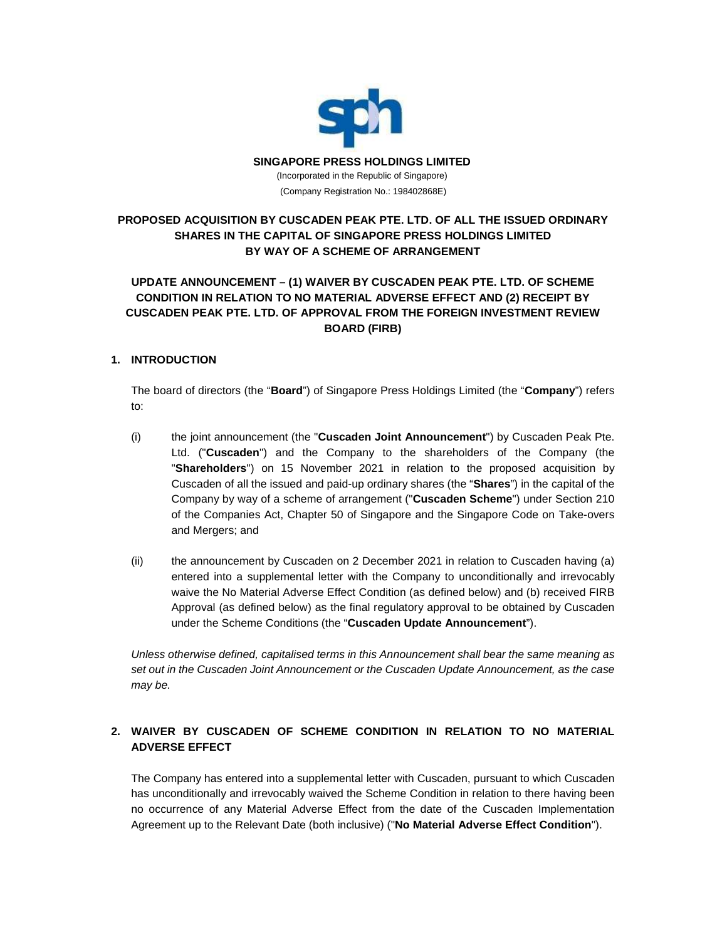

# **PROPOSED ACQUISITION BY CUSCADEN PEAK PTE. LTD. OF ALL THE ISSUED ORDINARY SHARES IN THE CAPITAL OF SINGAPORE PRESS HOLDINGS LIMITED BY WAY OF A SCHEME OF ARRANGEMENT**

# **UPDATE ANNOUNCEMENT – (1) WAIVER BY CUSCADEN PEAK PTE. LTD. OF SCHEME CONDITION IN RELATION TO NO MATERIAL ADVERSE EFFECT AND (2) RECEIPT BY CUSCADEN PEAK PTE. LTD. OF APPROVAL FROM THE FOREIGN INVESTMENT REVIEW BOARD (FIRB)**

### **1. INTRODUCTION**

The board of directors (the "**Board**") of Singapore Press Holdings Limited (the "**Company**") refers to:

- (i) the joint announcement (the "**Cuscaden Joint Announcement**") by Cuscaden Peak Pte. Ltd. ("**Cuscaden**") and the Company to the shareholders of the Company (the "**Shareholders**") on 15 November 2021 in relation to the proposed acquisition by Cuscaden of all the issued and paid-up ordinary shares (the "**Shares**") in the capital of the Company by way of a scheme of arrangement ("**Cuscaden Scheme**") under Section 210 of the Companies Act, Chapter 50 of Singapore and the Singapore Code on Take-overs and Mergers; and
- (ii) the announcement by Cuscaden on 2 December 2021 in relation to Cuscaden having (a) entered into a supplemental letter with the Company to unconditionally and irrevocably waive the No Material Adverse Effect Condition (as defined below) and (b) received FIRB Approval (as defined below) as the final regulatory approval to be obtained by Cuscaden under the Scheme Conditions (the "**Cuscaden Update Announcement**").

*Unless otherwise defined, capitalised terms in this Announcement shall bear the same meaning as set out in the Cuscaden Joint Announcement or the Cuscaden Update Announcement, as the case may be.*

# **2. WAIVER BY CUSCADEN OF SCHEME CONDITION IN RELATION TO NO MATERIAL ADVERSE EFFECT**

The Company has entered into a supplemental letter with Cuscaden, pursuant to which Cuscaden has unconditionally and irrevocably waived the Scheme Condition in relation to there having been no occurrence of any Material Adverse Effect from the date of the Cuscaden Implementation Agreement up to the Relevant Date (both inclusive) ("**No Material Adverse Effect Condition**").